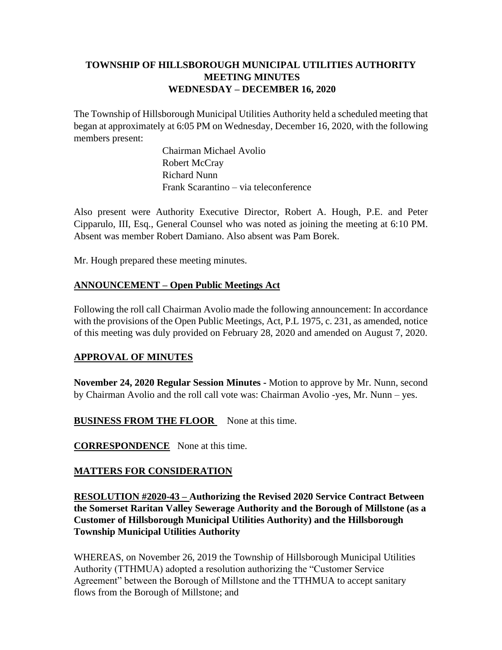## **TOWNSHIP OF HILLSBOROUGH MUNICIPAL UTILITIES AUTHORITY MEETING MINUTES WEDNESDAY – DECEMBER 16, 2020**

The Township of Hillsborough Municipal Utilities Authority held a scheduled meeting that began at approximately at 6:05 PM on Wednesday, December 16, 2020, with the following members present:

> Chairman Michael Avolio Robert McCray Richard Nunn Frank Scarantino – via teleconference

Also present were Authority Executive Director, Robert A. Hough, P.E. and Peter Cipparulo, III, Esq., General Counsel who was noted as joining the meeting at 6:10 PM. Absent was member Robert Damiano. Also absent was Pam Borek.

Mr. Hough prepared these meeting minutes.

## **ANNOUNCEMENT – Open Public Meetings Act**

Following the roll call Chairman Avolio made the following announcement: In accordance with the provisions of the Open Public Meetings, Act, P.L 1975, c. 231, as amended, notice of this meeting was duly provided on February 28, 2020 and amended on August 7, 2020.

## **APPROVAL OF MINUTES**

**November 24, 2020 Regular Session Minutes -** Motion to approve by Mr. Nunn, second by Chairman Avolio and the roll call vote was: Chairman Avolio -yes, Mr. Nunn – yes.

**BUSINESS FROM THE FLOOR** None at this time.

**CORRESPONDENCE** None at this time.

# **MATTERS FOR CONSIDERATION**

**RESOLUTION #2020-43 – Authorizing the Revised 2020 Service Contract Between the Somerset Raritan Valley Sewerage Authority and the Borough of Millstone (as a Customer of Hillsborough Municipal Utilities Authority) and the Hillsborough Township Municipal Utilities Authority**

WHEREAS, on November 26, 2019 the Township of Hillsborough Municipal Utilities Authority (TTHMUA) adopted a resolution authorizing the "Customer Service Agreement" between the Borough of Millstone and the TTHMUA to accept sanitary flows from the Borough of Millstone; and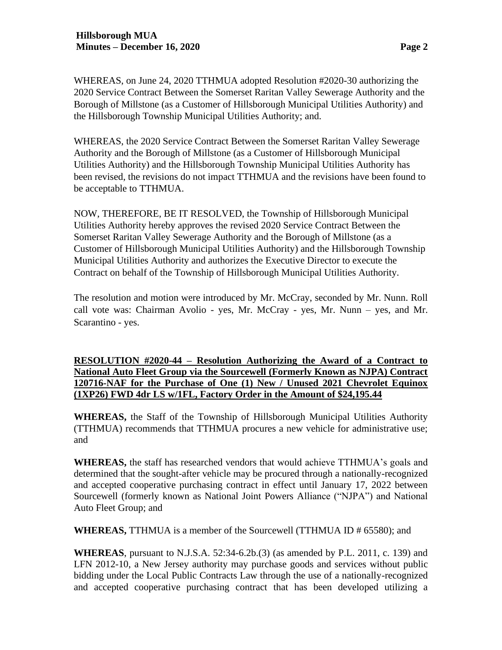WHEREAS, on June 24, 2020 TTHMUA adopted Resolution #2020-30 authorizing the 2020 Service Contract Between the Somerset Raritan Valley Sewerage Authority and the Borough of Millstone (as a Customer of Hillsborough Municipal Utilities Authority) and the Hillsborough Township Municipal Utilities Authority; and.

WHEREAS, the 2020 Service Contract Between the Somerset Raritan Valley Sewerage Authority and the Borough of Millstone (as a Customer of Hillsborough Municipal Utilities Authority) and the Hillsborough Township Municipal Utilities Authority has been revised, the revisions do not impact TTHMUA and the revisions have been found to be acceptable to TTHMUA.

NOW, THEREFORE, BE IT RESOLVED, the Township of Hillsborough Municipal Utilities Authority hereby approves the revised 2020 Service Contract Between the Somerset Raritan Valley Sewerage Authority and the Borough of Millstone (as a Customer of Hillsborough Municipal Utilities Authority) and the Hillsborough Township Municipal Utilities Authority and authorizes the Executive Director to execute the Contract on behalf of the Township of Hillsborough Municipal Utilities Authority.

The resolution and motion were introduced by Mr. McCray, seconded by Mr. Nunn. Roll call vote was: Chairman Avolio - yes, Mr. McCray - yes, Mr. Nunn – yes, and Mr. Scarantino - yes.

**RESOLUTION #2020-44 – Resolution Authorizing the Award of a Contract to National Auto Fleet Group via the Sourcewell (Formerly Known as NJPA) Contract 120716-NAF for the Purchase of One (1) New / Unused 2021 Chevrolet Equinox (1XP26) FWD 4dr LS w/1FL, Factory Order in the Amount of \$24,195.44**

**WHEREAS,** the Staff of the Township of Hillsborough Municipal Utilities Authority (TTHMUA) recommends that TTHMUA procures a new vehicle for administrative use; and

**WHEREAS,** the staff has researched vendors that would achieve TTHMUA's goals and determined that the sought-after vehicle may be procured through a nationally-recognized and accepted cooperative purchasing contract in effect until January 17, 2022 between Sourcewell (formerly known as National Joint Powers Alliance ("NJPA") and National Auto Fleet Group; and

**WHEREAS,** TTHMUA is a member of the Sourcewell (TTHMUA ID # 65580); and

**WHEREAS**, pursuant to N.J.S.A. 52:34-6.2b.(3) (as amended by P.L. 2011, c. 139) and LFN 2012-10, a New Jersey authority may purchase goods and services without public bidding under the Local Public Contracts Law through the use of a nationally-recognized and accepted cooperative purchasing contract that has been developed utilizing a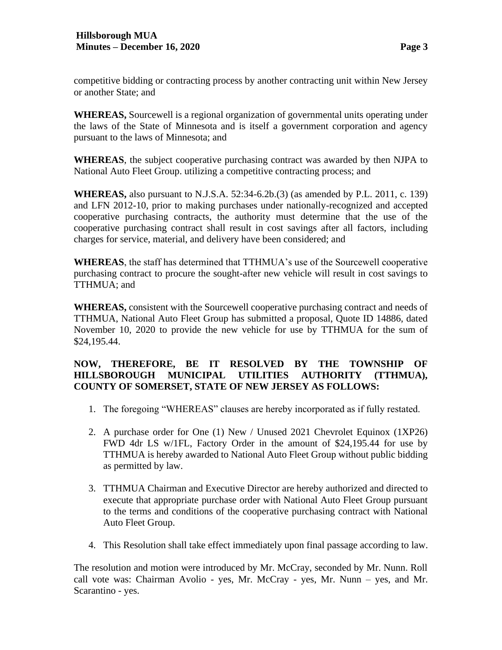competitive bidding or contracting process by another contracting unit within New Jersey or another State; and

**WHEREAS,** Sourcewell is a regional organization of governmental units operating under the laws of the State of Minnesota and is itself a government corporation and agency pursuant to the laws of Minnesota; and

**WHEREAS**, the subject cooperative purchasing contract was awarded by then NJPA to National Auto Fleet Group. utilizing a competitive contracting process; and

**WHEREAS,** also pursuant to N.J.S.A. 52:34-6.2b.(3) (as amended by P.L. 2011, c. 139) and LFN 2012-10, prior to making purchases under nationally-recognized and accepted cooperative purchasing contracts, the authority must determine that the use of the cooperative purchasing contract shall result in cost savings after all factors, including charges for service, material, and delivery have been considered; and

**WHEREAS**, the staff has determined that TTHMUA's use of the Sourcewell cooperative purchasing contract to procure the sought-after new vehicle will result in cost savings to TTHMUA; and

**WHEREAS,** consistent with the Sourcewell cooperative purchasing contract and needs of TTHMUA, National Auto Fleet Group has submitted a proposal, Quote ID 14886, dated November 10, 2020 to provide the new vehicle for use by TTHMUA for the sum of \$24,195.44.

### **NOW, THEREFORE, BE IT RESOLVED BY THE TOWNSHIP OF HILLSBOROUGH MUNICIPAL UTILITIES AUTHORITY (TTHMUA), COUNTY OF SOMERSET, STATE OF NEW JERSEY AS FOLLOWS:**

- 1. The foregoing "WHEREAS" clauses are hereby incorporated as if fully restated.
- 2. A purchase order for One (1) New / Unused 2021 Chevrolet Equinox (1XP26) FWD 4dr LS w/1FL, Factory Order in the amount of \$24,195.44 for use by TTHMUA is hereby awarded to National Auto Fleet Group without public bidding as permitted by law.
- 3. TTHMUA Chairman and Executive Director are hereby authorized and directed to execute that appropriate purchase order with National Auto Fleet Group pursuant to the terms and conditions of the cooperative purchasing contract with National Auto Fleet Group.
- 4. This Resolution shall take effect immediately upon final passage according to law.

The resolution and motion were introduced by Mr. McCray, seconded by Mr. Nunn. Roll call vote was: Chairman Avolio - yes, Mr. McCray - yes, Mr. Nunn – yes, and Mr. Scarantino - yes.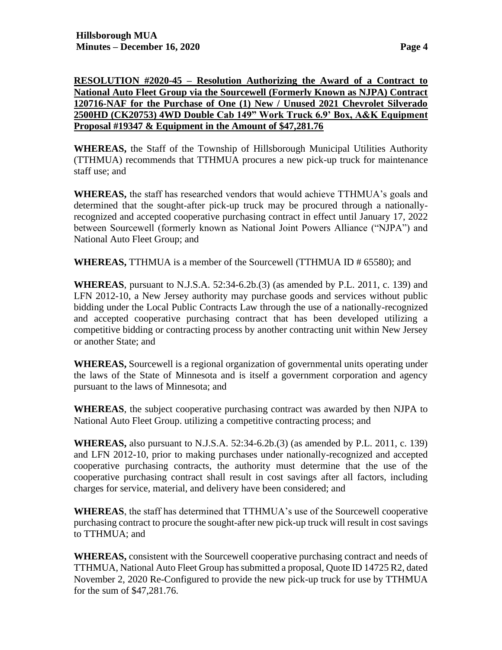### **RESOLUTION #2020-45 – Resolution Authorizing the Award of a Contract to National Auto Fleet Group via the Sourcewell (Formerly Known as NJPA) Contract 120716-NAF for the Purchase of One (1) New / Unused 2021 Chevrolet Silverado 2500HD (CK20753) 4WD Double Cab 149" Work Truck 6.9' Box, A&K Equipment Proposal #19347 & Equipment in the Amount of \$47,281.76**

**WHEREAS,** the Staff of the Township of Hillsborough Municipal Utilities Authority (TTHMUA) recommends that TTHMUA procures a new pick-up truck for maintenance staff use; and

**WHEREAS,** the staff has researched vendors that would achieve TTHMUA's goals and determined that the sought-after pick-up truck may be procured through a nationallyrecognized and accepted cooperative purchasing contract in effect until January 17, 2022 between Sourcewell (formerly known as National Joint Powers Alliance ("NJPA") and National Auto Fleet Group; and

**WHEREAS,** TTHMUA is a member of the Sourcewell (TTHMUA ID # 65580); and

**WHEREAS**, pursuant to N.J.S.A. 52:34-6.2b.(3) (as amended by P.L. 2011, c. 139) and LFN 2012-10, a New Jersey authority may purchase goods and services without public bidding under the Local Public Contracts Law through the use of a nationally-recognized and accepted cooperative purchasing contract that has been developed utilizing a competitive bidding or contracting process by another contracting unit within New Jersey or another State; and

**WHEREAS,** Sourcewell is a regional organization of governmental units operating under the laws of the State of Minnesota and is itself a government corporation and agency pursuant to the laws of Minnesota; and

**WHEREAS**, the subject cooperative purchasing contract was awarded by then NJPA to National Auto Fleet Group. utilizing a competitive contracting process; and

**WHEREAS,** also pursuant to N.J.S.A. 52:34-6.2b.(3) (as amended by P.L. 2011, c. 139) and LFN 2012-10, prior to making purchases under nationally-recognized and accepted cooperative purchasing contracts, the authority must determine that the use of the cooperative purchasing contract shall result in cost savings after all factors, including charges for service, material, and delivery have been considered; and

**WHEREAS**, the staff has determined that TTHMUA's use of the Sourcewell cooperative purchasing contract to procure the sought-after new pick-up truck will result in cost savings to TTHMUA; and

**WHEREAS,** consistent with the Sourcewell cooperative purchasing contract and needs of TTHMUA, National Auto Fleet Group has submitted a proposal, Quote ID 14725 R2, dated November 2, 2020 Re-Configured to provide the new pick-up truck for use by TTHMUA for the sum of \$47,281.76.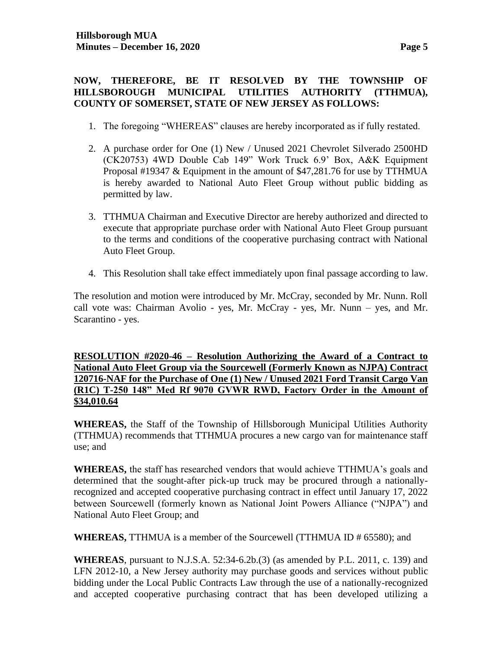#### **NOW, THEREFORE, BE IT RESOLVED BY THE TOWNSHIP OF HILLSBOROUGH MUNICIPAL UTILITIES AUTHORITY (TTHMUA), COUNTY OF SOMERSET, STATE OF NEW JERSEY AS FOLLOWS:**

- 1. The foregoing "WHEREAS" clauses are hereby incorporated as if fully restated.
- 2. A purchase order for One (1) New / Unused 2021 Chevrolet Silverado 2500HD (CK20753) 4WD Double Cab 149" Work Truck 6.9' Box, A&K Equipment Proposal #19347 & Equipment in the amount of \$47,281.76 for use by TTHMUA is hereby awarded to National Auto Fleet Group without public bidding as permitted by law.
- 3. TTHMUA Chairman and Executive Director are hereby authorized and directed to execute that appropriate purchase order with National Auto Fleet Group pursuant to the terms and conditions of the cooperative purchasing contract with National Auto Fleet Group.
- 4. This Resolution shall take effect immediately upon final passage according to law.

The resolution and motion were introduced by Mr. McCray, seconded by Mr. Nunn. Roll call vote was: Chairman Avolio - yes, Mr. McCray - yes, Mr. Nunn – yes, and Mr. Scarantino - yes.

**RESOLUTION #2020-46 – Resolution Authorizing the Award of a Contract to National Auto Fleet Group via the Sourcewell (Formerly Known as NJPA) Contract 120716-NAF for the Purchase of One (1) New / Unused 2021 Ford Transit Cargo Van (R1C) T-250 148" Med Rf 9070 GVWR RWD, Factory Order in the Amount of \$34,010.64**

**WHEREAS,** the Staff of the Township of Hillsborough Municipal Utilities Authority (TTHMUA) recommends that TTHMUA procures a new cargo van for maintenance staff use; and

**WHEREAS,** the staff has researched vendors that would achieve TTHMUA's goals and determined that the sought-after pick-up truck may be procured through a nationallyrecognized and accepted cooperative purchasing contract in effect until January 17, 2022 between Sourcewell (formerly known as National Joint Powers Alliance ("NJPA") and National Auto Fleet Group; and

**WHEREAS,** TTHMUA is a member of the Sourcewell (TTHMUA ID # 65580); and

**WHEREAS**, pursuant to N.J.S.A. 52:34-6.2b.(3) (as amended by P.L. 2011, c. 139) and LFN 2012-10, a New Jersey authority may purchase goods and services without public bidding under the Local Public Contracts Law through the use of a nationally-recognized and accepted cooperative purchasing contract that has been developed utilizing a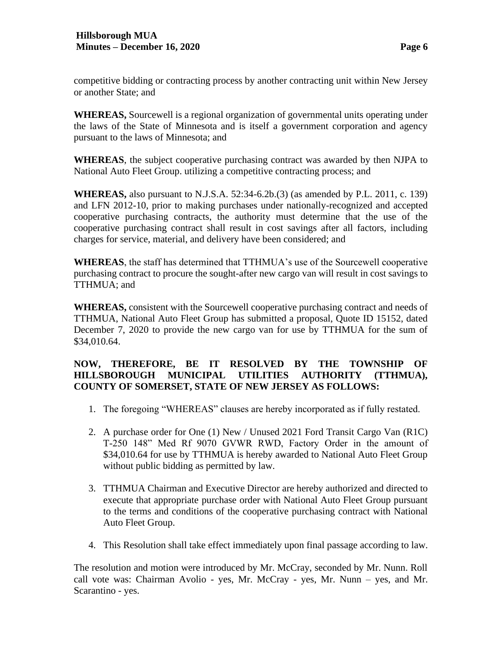competitive bidding or contracting process by another contracting unit within New Jersey or another State; and

**WHEREAS,** Sourcewell is a regional organization of governmental units operating under the laws of the State of Minnesota and is itself a government corporation and agency pursuant to the laws of Minnesota; and

**WHEREAS**, the subject cooperative purchasing contract was awarded by then NJPA to National Auto Fleet Group. utilizing a competitive contracting process; and

**WHEREAS,** also pursuant to N.J.S.A. 52:34-6.2b.(3) (as amended by P.L. 2011, c. 139) and LFN 2012-10, prior to making purchases under nationally-recognized and accepted cooperative purchasing contracts, the authority must determine that the use of the cooperative purchasing contract shall result in cost savings after all factors, including charges for service, material, and delivery have been considered; and

**WHEREAS**, the staff has determined that TTHMUA's use of the Sourcewell cooperative purchasing contract to procure the sought-after new cargo van will result in cost savings to TTHMUA; and

**WHEREAS,** consistent with the Sourcewell cooperative purchasing contract and needs of TTHMUA, National Auto Fleet Group has submitted a proposal, Quote ID 15152, dated December 7, 2020 to provide the new cargo van for use by TTHMUA for the sum of \$34,010.64.

### **NOW, THEREFORE, BE IT RESOLVED BY THE TOWNSHIP OF HILLSBOROUGH MUNICIPAL UTILITIES AUTHORITY (TTHMUA), COUNTY OF SOMERSET, STATE OF NEW JERSEY AS FOLLOWS:**

- 1. The foregoing "WHEREAS" clauses are hereby incorporated as if fully restated.
- 2. A purchase order for One (1) New / Unused 2021 Ford Transit Cargo Van (R1C) T-250 148" Med Rf 9070 GVWR RWD, Factory Order in the amount of \$34,010.64 for use by TTHMUA is hereby awarded to National Auto Fleet Group without public bidding as permitted by law.
- 3. TTHMUA Chairman and Executive Director are hereby authorized and directed to execute that appropriate purchase order with National Auto Fleet Group pursuant to the terms and conditions of the cooperative purchasing contract with National Auto Fleet Group.
- 4. This Resolution shall take effect immediately upon final passage according to law.

The resolution and motion were introduced by Mr. McCray, seconded by Mr. Nunn. Roll call vote was: Chairman Avolio - yes, Mr. McCray - yes, Mr. Nunn – yes, and Mr. Scarantino - yes.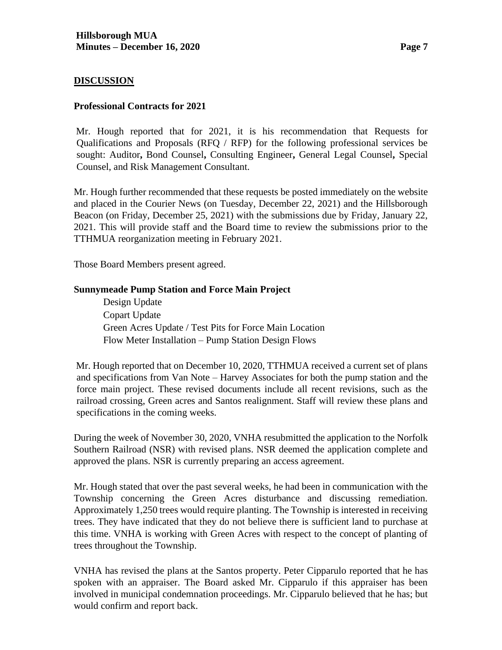#### **DISCUSSION**

#### **Professional Contracts for 2021**

Mr. Hough reported that for 2021, it is his recommendation that Requests for Qualifications and Proposals (RFQ / RFP) for the following professional services be sought: Auditor**,** Bond Counsel**,** Consulting Engineer**,** General Legal Counsel**,** Special Counsel, and Risk Management Consultant.

Mr. Hough further recommended that these requests be posted immediately on the website and placed in the Courier News (on Tuesday, December 22, 2021) and the Hillsborough Beacon (on Friday, December 25, 2021) with the submissions due by Friday, January 22, 2021. This will provide staff and the Board time to review the submissions prior to the TTHMUA reorganization meeting in February 2021.

Those Board Members present agreed.

#### **Sunnymeade Pump Station and Force Main Project**

Design Update Copart Update Green Acres Update / Test Pits for Force Main Location Flow Meter Installation – Pump Station Design Flows

Mr. Hough reported that on December 10, 2020, TTHMUA received a current set of plans and specifications from Van Note – Harvey Associates for both the pump station and the force main project. These revised documents include all recent revisions, such as the railroad crossing, Green acres and Santos realignment. Staff will review these plans and specifications in the coming weeks.

During the week of November 30, 2020, VNHA resubmitted the application to the Norfolk Southern Railroad (NSR) with revised plans. NSR deemed the application complete and approved the plans. NSR is currently preparing an access agreement.

Mr. Hough stated that over the past several weeks, he had been in communication with the Township concerning the Green Acres disturbance and discussing remediation. Approximately 1,250 trees would require planting. The Township is interested in receiving trees. They have indicated that they do not believe there is sufficient land to purchase at this time. VNHA is working with Green Acres with respect to the concept of planting of trees throughout the Township.

VNHA has revised the plans at the Santos property. Peter Cipparulo reported that he has spoken with an appraiser. The Board asked Mr. Cipparulo if this appraiser has been involved in municipal condemnation proceedings. Mr. Cipparulo believed that he has; but would confirm and report back.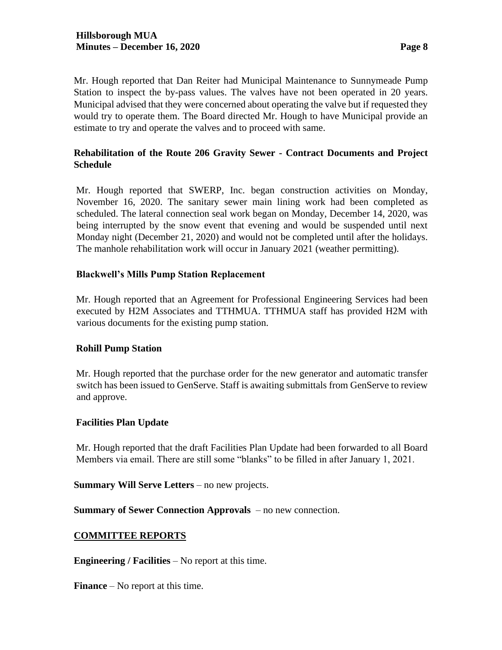Mr. Hough reported that Dan Reiter had Municipal Maintenance to Sunnymeade Pump Station to inspect the by-pass values. The valves have not been operated in 20 years. Municipal advised that they were concerned about operating the valve but if requested they would try to operate them. The Board directed Mr. Hough to have Municipal provide an estimate to try and operate the valves and to proceed with same.

## **Rehabilitation of the Route 206 Gravity Sewer - Contract Documents and Project Schedule**

Mr. Hough reported that SWERP, Inc. began construction activities on Monday, November 16, 2020. The sanitary sewer main lining work had been completed as scheduled. The lateral connection seal work began on Monday, December 14, 2020, was being interrupted by the snow event that evening and would be suspended until next Monday night (December 21, 2020) and would not be completed until after the holidays. The manhole rehabilitation work will occur in January 2021 (weather permitting).

## **Blackwell's Mills Pump Station Replacement**

Mr. Hough reported that an Agreement for Professional Engineering Services had been executed by H2M Associates and TTHMUA. TTHMUA staff has provided H2M with various documents for the existing pump station.

## **Rohill Pump Station**

Mr. Hough reported that the purchase order for the new generator and automatic transfer switch has been issued to GenServe. Staff is awaiting submittals from GenServe to review and approve.

#### **Facilities Plan Update**

Mr. Hough reported that the draft Facilities Plan Update had been forwarded to all Board Members via email. There are still some "blanks" to be filled in after January 1, 2021.

**Summary Will Serve Letters** – no new projects.

**Summary of Sewer Connection Approvals** – no new connection.

#### **COMMITTEE REPORTS**

**Engineering / Facilities** – No report at this time.

**Finance** – No report at this time.